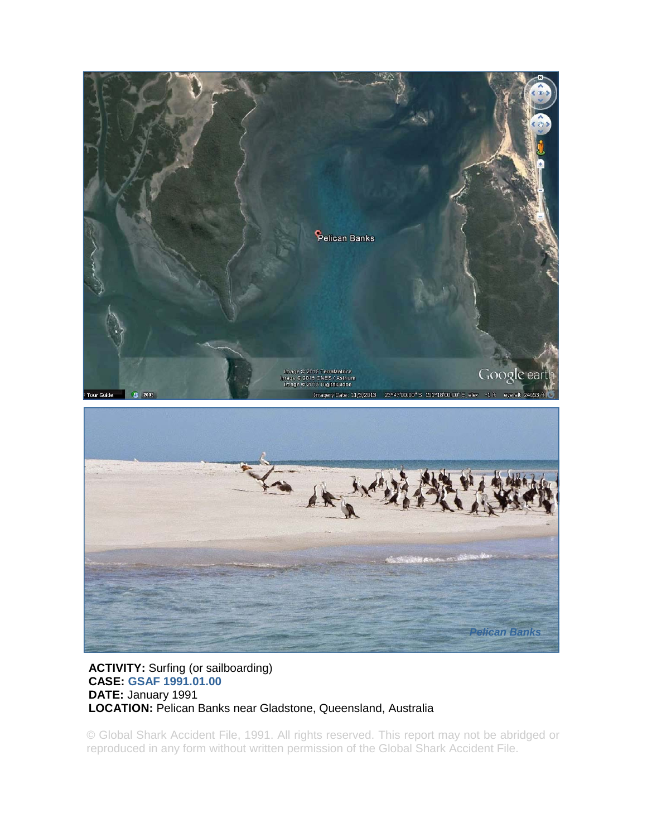

## **ACTIVITY:** Surfing (or sailboarding) **CASE: GSAF 1991.01.00 DATE:** January 1991 **LOCATION:** Pelican Banks near Gladstone, Queensland, Australia

© Global Shark Accident File, 1991. All rights reserved. This report may not be abridged or reproduced in any form without written permission of the Global Shark Accident File.